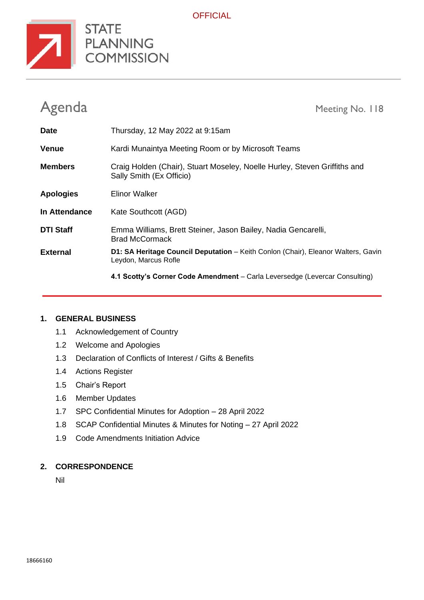

**OFFICIAL** 

| Agenda           | Meeting No. 118                                                                                           |
|------------------|-----------------------------------------------------------------------------------------------------------|
| <b>Date</b>      | Thursday, 12 May 2022 at 9:15am                                                                           |
| <b>Venue</b>     | Kardi Munaintya Meeting Room or by Microsoft Teams                                                        |
| <b>Members</b>   | Craig Holden (Chair), Stuart Moseley, Noelle Hurley, Steven Griffiths and<br>Sally Smith (Ex Officio)     |
| <b>Apologies</b> | Elinor Walker                                                                                             |
| In Attendance    | Kate Southcott (AGD)                                                                                      |
| <b>DTI Staff</b> | Emma Williams, Brett Steiner, Jason Bailey, Nadia Gencarelli,<br><b>Brad McCormack</b>                    |
| <b>External</b>  | D1: SA Heritage Council Deputation - Keith Conlon (Chair), Eleanor Walters, Gavin<br>Leydon, Marcus Rofle |
|                  | 4.1 Scotty's Corner Code Amendment - Carla Leversedge (Levercar Consulting)                               |

#### **1. GENERAL BUSINESS**

- 1.1 Acknowledgement of Country
- 1.2 Welcome and Apologies
- 1.3 Declaration of Conflicts of Interest / Gifts & Benefits
- 1.4 Actions Register
- 1.5 Chair's Report
- 1.6 Member Updates
- 1.7 SPC Confidential Minutes for Adoption 28 April 2022
- 1.8 SCAP Confidential Minutes & Minutes for Noting 27 April 2022
- 1.9 Code Amendments Initiation Advice

#### **2. CORRESPONDENCE**

Nil